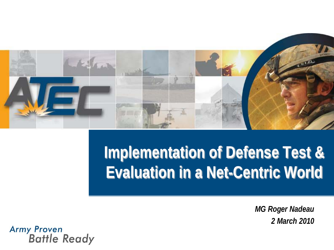

### **Implementation of Defense Test & Evaluation in a Net-Centric World**

*MG Roger Nadeau 2 March 2010*

Army Proven<br>Battle Ready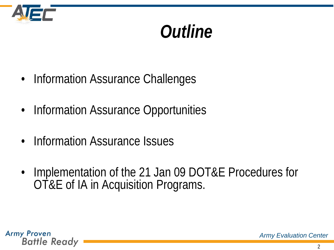

### *Outline*

- Information Assurance Challenges
- Information Assurance Opportunities
- Information Assurance Issues
- Implementation of the 21 Jan 09 DOT&E Procedures for OT&E of IA in Acquisition Programs.

**Army Proven Battle Ready**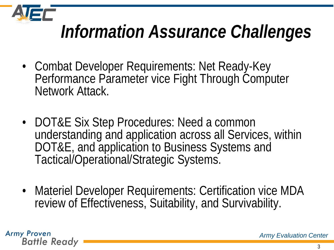

### *Information Assurance Challenges*

- Combat Developer Requirements: Net Ready-Key Performance Parameter vice Fight Through Computer Network Attack.
- DOT&E Six Step Procedures: Need a common understanding and application across all Services, within DOT&E, and application to Business Systems and Tactical/Operational/Strategic Systems.
- Materiel Developer Requirements: Certification vice MDA review of Effectiveness, Suitability, and Survivability.

**Army Proven Battle Ready**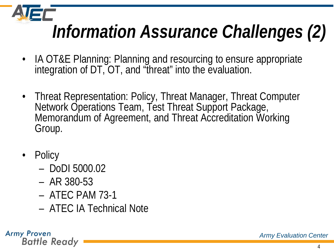*Information Assurance Challenges (2)*

- IA OT&E Planning: Planning and resourcing to ensure appropriate integration of DT, OT, and "threat" into the evaluation.
- Threat Representation: Policy, Threat Manager, Threat Computer Network Operations Team, Test Threat Support Package, Memorandum of Agreement, and Threat Accreditation Working Group.
- **Policy** 
	- DoDI 5000.02
	- AR 380-53
	- ATEC PAM 73-1
	- ATEC IA Technical Note

**Army Proven Battle Ready**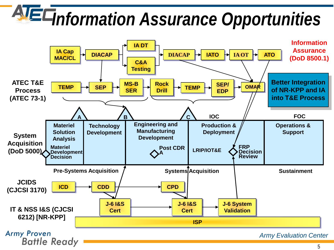# *Information Assurance Opportunities*

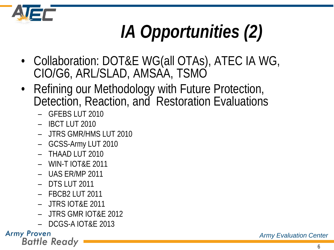

# *IA Opportunities (2)*

- Collaboration: DOT&E WG(all OTAs), ATEC IA WG, CIO/G6, ARL/SLAD, AMSAA, TSMO
- Refining our Methodology with Future Protection, Detection, Reaction, and Restoration Evaluations
	- GFEBS LUT 2010
	- IBCT LUT 2010
	- JTRS GMR/HMS LUT 2010
	- GCSS-Army LUT 2010
	- THAAD LUT 2010
	- WIN-T IOT&E 2011
	- UAS ER/MP 2011
	- DTS LUT 2011
	- FBCB2 LUT 2011
	- JTRS IOT&E 2011
	- JTRS GMR IOT&E 2012
	- DCGS-A IOT&E 2013

#### **Army Proven**

**Battle Ready**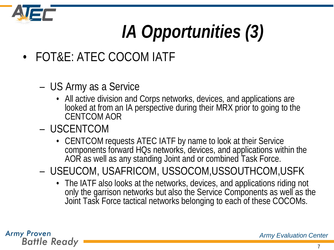

# *IA Opportunities (3)*

- FOT&E: ATEC COCOM IATF
	- US Army as a Service
		- All active division and Corps networks, devices, and applications are looked at from an IA perspective during their MRX prior to going to the CENTCOM AOR
	- USCENTCOM
		- CENTCOM requests ATEC IATF by name to look at their Service components forward HQs networks, devices, and applications within the AOR as well as any standing Joint and or combined Task Force.
	- USEUCOM, USAFRICOM, USSOCOM,USSOUTHCOM,USFK
		- The IATF also looks at the networks, devices, and applications riding not only the garrison networks but also the Service Components as well as the Joint Task Force tactical networks belonging to each of these COCOMs.

**Army Proven Battle Ready**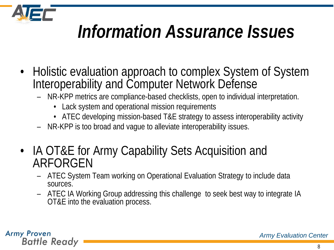

### *Information Assurance Issues*

- Holistic evaluation approach to complex System of System Interoperability and Computer Network Defense
	- NR-KPP metrics are compliance-based checklists, open to individual interpretation.
		- Lack system and operational mission requirements
		- ATEC developing mission-based T&E strategy to assess interoperability activity
	- NR-KPP is too broad and vague to alleviate interoperability issues.
- IA OT&E for Army Capability Sets Acquisition and ARFORGEN
	- ATEC System Team working on Operational Evaluation Strategy to include data sources.
	- ATEC IA Working Group addressing this challenge to seek best way to integrate IA OT&E into the evaluation process.

**Army Proven Battle Ready**